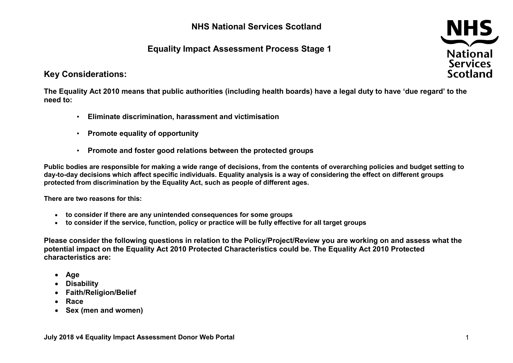## **NHS National Services Scotland**

# **Equality Impact Assessment Process Stage 1**



#### **Key Considerations:**

**The Equality Act 2010 means that public authorities (including health boards) have a legal duty to have 'due regard' to the need to:**

- **Eliminate discrimination, harassment and victimisation**
- **Promote equality of opportunity**
- **Promote and foster good relations between the protected groups**

**Public bodies are responsible for making a wide range of decisions, from the contents of overarching policies and budget setting to day-to-day decisions which affect specific individuals. Equality analysis is a way of considering the effect on different groups protected from discrimination by the Equality Act, such as people of different ages.**

**There are two reasons for this:**

- **to consider if there are any unintended consequences for some groups**
- **to consider if the service, function, policy or practice will be fully effective for all target groups**

**Please consider the following questions in relation to the Policy/Project/Review you are working on and assess what the potential impact on the Equality Act 2010 Protected Characteristics could be. The Equality Act 2010 Protected characteristics are:** 

- **Age**
- **Disability**
- **Faith/Religion/Belief**
- **Race**
- **Sex (men and women)**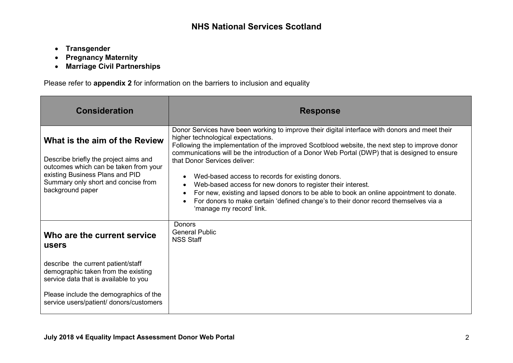- **Transgender**
- **Pregnancy Maternity**
- **Marriage Civil Partnerships**

Please refer to **appendix 2** for information on the barriers to inclusion and equality

| <b>Consideration</b>                                                                                                                                                                                          | <b>Response</b>                                                                                                                                                                                                                                                                                                                                                                                                                                                                                                                                                                                                                                                                                           |
|---------------------------------------------------------------------------------------------------------------------------------------------------------------------------------------------------------------|-----------------------------------------------------------------------------------------------------------------------------------------------------------------------------------------------------------------------------------------------------------------------------------------------------------------------------------------------------------------------------------------------------------------------------------------------------------------------------------------------------------------------------------------------------------------------------------------------------------------------------------------------------------------------------------------------------------|
| What is the aim of the Review<br>Describe briefly the project aims and<br>outcomes which can be taken from your<br>existing Business Plans and PID<br>Summary only short and concise from<br>background paper | Donor Services have been working to improve their digital interface with donors and meet their<br>higher technological expectations.<br>Following the implementation of the improved Scotblood website, the next step to improve donor<br>communications will be the introduction of a Donor Web Portal (DWP) that is designed to ensure<br>that Donor Services deliver:<br>Wed-based access to records for existing donors.<br>Web-based access for new donors to register their interest.<br>For new, existing and lapsed donors to be able to book an online appointment to donate.<br>For donors to make certain 'defined change's to their donor record themselves via a<br>'manage my record' link. |
| Who are the current service<br>users                                                                                                                                                                          | Donors<br><b>General Public</b><br><b>NSS Staff</b>                                                                                                                                                                                                                                                                                                                                                                                                                                                                                                                                                                                                                                                       |
| describe the current patient/staff<br>demographic taken from the existing<br>service data that is available to you<br>Please include the demographics of the<br>service users/patient/ donors/customers       |                                                                                                                                                                                                                                                                                                                                                                                                                                                                                                                                                                                                                                                                                                           |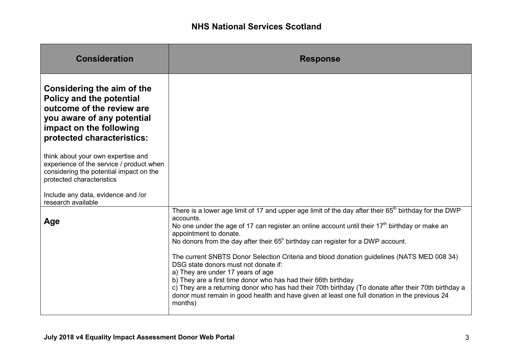| <b>Consideration</b>                                                                                                                                                              | <b>Response</b>                                                                                                                                                                                                                                                                                                                                                                                                                                               |
|-----------------------------------------------------------------------------------------------------------------------------------------------------------------------------------|---------------------------------------------------------------------------------------------------------------------------------------------------------------------------------------------------------------------------------------------------------------------------------------------------------------------------------------------------------------------------------------------------------------------------------------------------------------|
| Considering the aim of the<br><b>Policy and the potential</b><br>outcome of the review are<br>you aware of any potential<br>impact on the following<br>protected characteristics: |                                                                                                                                                                                                                                                                                                                                                                                                                                                               |
| think about your own expertise and<br>experience of the service / product when<br>considering the potential impact on the<br>protected characteristics                            |                                                                                                                                                                                                                                                                                                                                                                                                                                                               |
| Include any data, evidence and /or<br>research available                                                                                                                          |                                                                                                                                                                                                                                                                                                                                                                                                                                                               |
| Age                                                                                                                                                                               | There is a lower age limit of 17 and upper age limit of the day after their 65 <sup>th</sup> birthday for the DWP<br>accounts.<br>No one under the age of 17 can register an online account until their $17th$ birthday or make an<br>appointment to donate.<br>No donors from the day after their $65h$ birthday can register for a DWP account.                                                                                                             |
|                                                                                                                                                                                   | The current SNBTS Donor Selection Criteria and blood donation guidelines (NATS MED 008 34)<br>DSG state donors must not donate if:<br>a) They are under 17 years of age<br>b) They are a first time donor who has had their 66th birthday<br>c) They are a returning donor who has had their 70th birthday (To donate after their 70th birthday a<br>donor must remain in good health and have given at least one full donation in the previous 24<br>months) |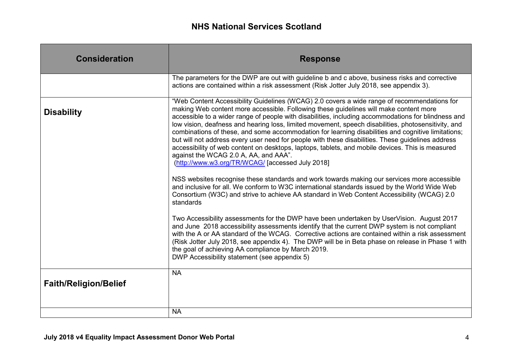| <b>Consideration</b>         | <b>Response</b>                                                                                                                                                                                                                                                                                                                                                                                                                                                                                                                                                                                                                                                                                                                                                                                                                                                                                                                                                                                                                                                                                                                                                                                                                                                                                                                                                                                                                                                                                                                                                                                                                        |
|------------------------------|----------------------------------------------------------------------------------------------------------------------------------------------------------------------------------------------------------------------------------------------------------------------------------------------------------------------------------------------------------------------------------------------------------------------------------------------------------------------------------------------------------------------------------------------------------------------------------------------------------------------------------------------------------------------------------------------------------------------------------------------------------------------------------------------------------------------------------------------------------------------------------------------------------------------------------------------------------------------------------------------------------------------------------------------------------------------------------------------------------------------------------------------------------------------------------------------------------------------------------------------------------------------------------------------------------------------------------------------------------------------------------------------------------------------------------------------------------------------------------------------------------------------------------------------------------------------------------------------------------------------------------------|
|                              | The parameters for the DWP are out with guideline b and c above, business risks and corrective<br>actions are contained within a risk assessment (Risk Jotter July 2018, see appendix 3).                                                                                                                                                                                                                                                                                                                                                                                                                                                                                                                                                                                                                                                                                                                                                                                                                                                                                                                                                                                                                                                                                                                                                                                                                                                                                                                                                                                                                                              |
| <b>Disability</b>            | "Web Content Accessibility Guidelines (WCAG) 2.0 covers a wide range of recommendations for<br>making Web content more accessible. Following these guidelines will make content more<br>accessible to a wider range of people with disabilities, including accommodations for blindness and<br>low vision, deafness and hearing loss, limited movement, speech disabilities, photosensitivity, and<br>combinations of these, and some accommodation for learning disabilities and cognitive limitations;<br>but will not address every user need for people with these disabilities. These guidelines address<br>accessibility of web content on desktops, laptops, tablets, and mobile devices. This is measured<br>against the WCAG 2.0 A, AA, and AAA".<br>(http://www.w3.org/TR/WCAG/ [accessed July 2018]<br>NSS websites recognise these standards and work towards making our services more accessible<br>and inclusive for all. We conform to W3C international standards issued by the World Wide Web<br>Consortium (W3C) and strive to achieve AA standard in Web Content Accessibility (WCAG) 2.0<br>standards<br>Two Accessibility assessments for the DWP have been undertaken by UserVision. August 2017<br>and June 2018 accessibility assessments identify that the current DWP system is not compliant<br>with the A or AA standard of the WCAG. Corrective actions are contained within a risk assessment<br>(Risk Jotter July 2018, see appendix 4). The DWP will be in Beta phase on release in Phase 1 with<br>the goal of achieving AA compliance by March 2019.<br>DWP Accessibility statement (see appendix 5) |
| <b>Faith/Religion/Belief</b> | <b>NA</b>                                                                                                                                                                                                                                                                                                                                                                                                                                                                                                                                                                                                                                                                                                                                                                                                                                                                                                                                                                                                                                                                                                                                                                                                                                                                                                                                                                                                                                                                                                                                                                                                                              |
|                              | <b>NA</b>                                                                                                                                                                                                                                                                                                                                                                                                                                                                                                                                                                                                                                                                                                                                                                                                                                                                                                                                                                                                                                                                                                                                                                                                                                                                                                                                                                                                                                                                                                                                                                                                                              |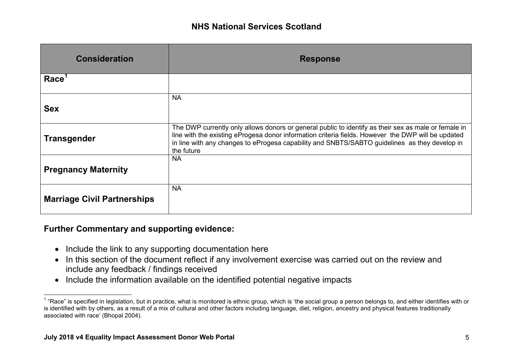<span id="page-4-0"></span>

| <b>Consideration</b>               | <b>Response</b>                                                                                                                                                                                                                                                                                                           |
|------------------------------------|---------------------------------------------------------------------------------------------------------------------------------------------------------------------------------------------------------------------------------------------------------------------------------------------------------------------------|
| Race <sup>1</sup>                  |                                                                                                                                                                                                                                                                                                                           |
| <b>Sex</b>                         | <b>NA</b>                                                                                                                                                                                                                                                                                                                 |
| <b>Transgender</b>                 | The DWP currently only allows donors or general public to identify as their sex as male or female in<br>line with the existing eProgesa donor information criteria fields. However the DWP will be updated<br>in line with any changes to eProgesa capability and SNBTS/SABTO guidelines as they develop in<br>the future |
| <b>Pregnancy Maternity</b>         | <b>NA</b>                                                                                                                                                                                                                                                                                                                 |
| <b>Marriage Civil Partnerships</b> | <b>NA</b>                                                                                                                                                                                                                                                                                                                 |

## **Further Commentary and supporting evidence:**

- Include the link to any supporting documentation here
- In this section of the document reflect if any involvement exercise was carried out on the review and include any feedback / findings received
- Include the information available on the identified potential negative impacts

 $^{\text{\tiny{1}}}$  "Race" is specified in legislation, but in practice, what is monitored is ethnic group, which is 'the social group a person belongs to, and either identifies with or is identified with by others, as a result of a mix of cultural and other factors including language, diet, religion, ancestry and physical features traditionally associated with race' (Bhopal 2004).  $\overline{\phantom{a}}$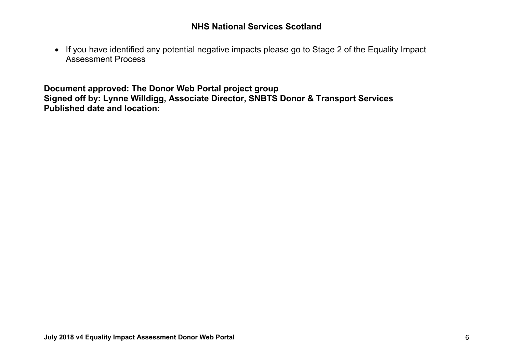• If you have identified any potential negative impacts please go to Stage 2 of the Equality Impact Assessment Process

**Document approved: The Donor Web Portal project group Signed off by: Lynne Willdigg, Associate Director, SNBTS Donor & Transport Services Published date and location:**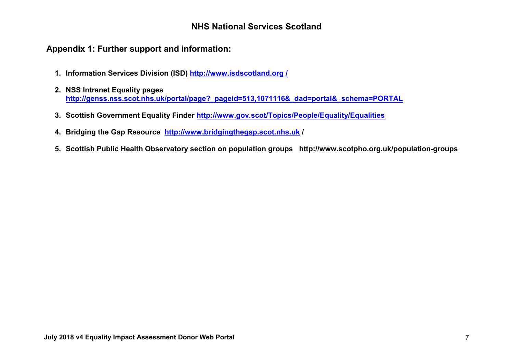## **NHS National Services Scotland**

## **Appendix 1: Further support and information:**

- **1. Information Services Division (ISD) http://www.isdscotland.org /**
- **2. NSS Intranet Equality pages [http://genss.nss.scot.nhs.uk/portal/page?\\_pageid=513,1071116&\\_dad=portal&\\_schema=PORTAL](http://genss.nss.scot.nhs.uk/portal/page?_pageid=513,1071116&_dad=portal&_schema=PORTAL)**
- **3. Scottish Government Equality Finder<http://www.gov.scot/Topics/People/Equality/Equalities>**
- **4. Bridging the Gap Resource [http://www.bridgingthegap.scot.nhs.uk](http://www.bridgingthegap.scot.nhs.uk/) /**
- **5. Scottish Public Health Observatory section on population groups http://www.scotpho.org.uk/population-groups**